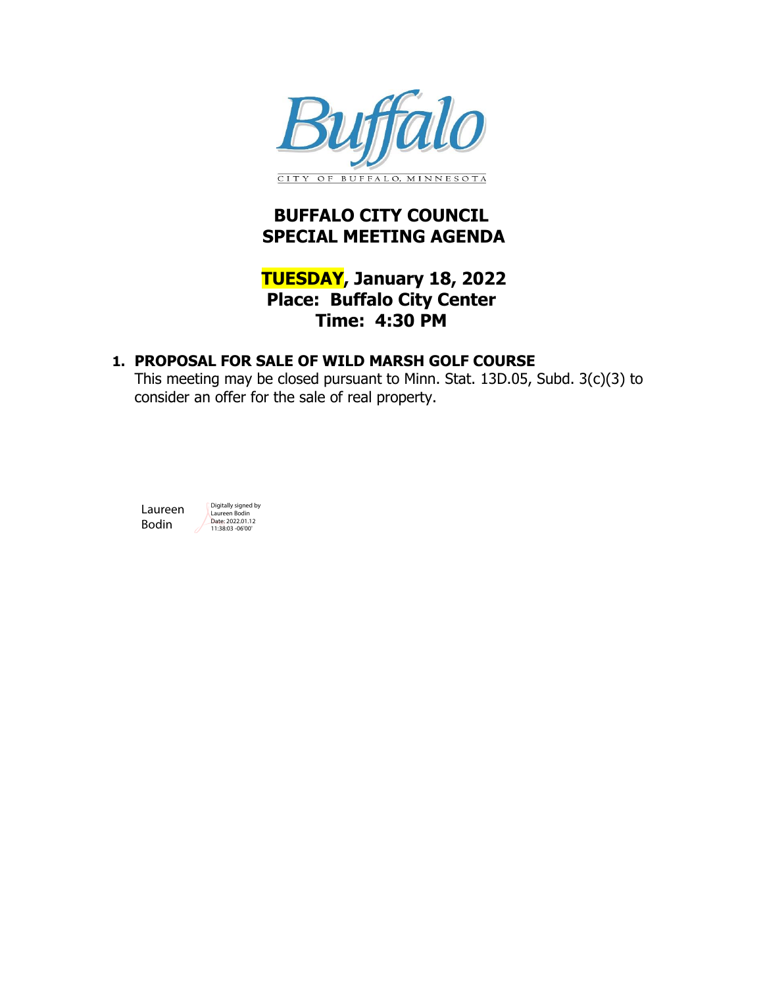

# **BUFFALO CITY COUNCIL SPECIAL MEETING AGENDA**

### **TUESDAY, January 18, 2022 Place: Buffalo City Center Time: 4:30 PM**

### **1. [PROPOSAL FOR SALE OF WILD MARSH GOLF COURSE](#page-1-0)**

This meeting may be closed pursuant to Minn. Stat. 13D.05, Subd. 3(c)(3) to consider an offer for the sale of real property.

Laureen Bodin

Digitally signed by Laureen Bodin Date: 2022.01.12 11:38:03 -06'00'